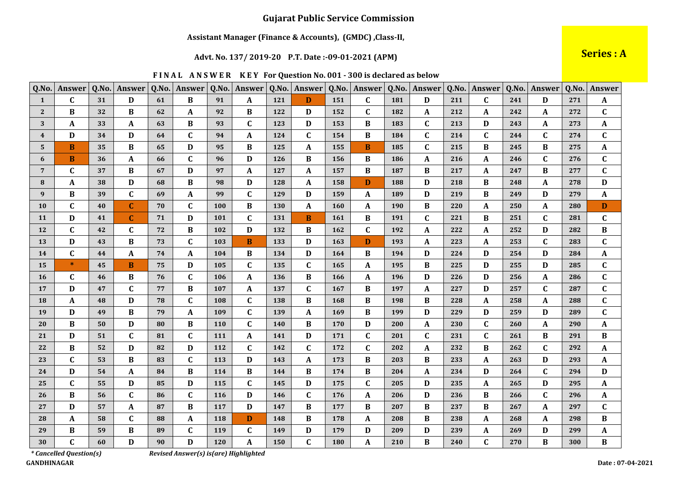### Assistant Manager (Finance & Accounts), (GMDC), Class-II,

### Advt. No. 137/2019-20 P.T. Date:-09-01-2021 (APM)

Series : A

| FINAL ANSWER KEY For Question No. 001 - 300 is declared as below |  |  |  |  |
|------------------------------------------------------------------|--|--|--|--|
|------------------------------------------------------------------|--|--|--|--|

| Q.No.                   | Answer       | Q.No. | Answer       | Q.No. | Answer                    | Q.No. | Answer       | Q.No. | Answer       | Q.No.      | Answer       | Q.No. | Answer       | Q.No. | Answer      | Q.No. | Answer       | Q.No. | <b>Answer</b>    |
|-------------------------|--------------|-------|--------------|-------|---------------------------|-------|--------------|-------|--------------|------------|--------------|-------|--------------|-------|-------------|-------|--------------|-------|------------------|
| $\mathbf{1}$            | $\mathbf C$  | 31    | D            | 61    | B                         | 91    | A            | 121   | D            | 151        | $\mathbf{C}$ | 181   | D            | 211   | $\mathbf C$ | 241   | D            | 271   | A                |
| $\mathbf{2}$            | B            | 32    | B            | 62    | A                         | 92    | B            | 122   | D            | 152        | $\mathbf{C}$ | 182   | A            | 212   | A           | 242   | A            | 272   | $\mathbf{C}$     |
| 3                       | A            | 33    | A            | 63    | B                         | 93    | C            | 123   | D            | 153        | B            | 183   | $\mathbf C$  | 213   | D           | 243   | A            | 273   | A                |
| $\overline{\mathbf{4}}$ | D            | 34    | D            | 64    | $\mathbf C$               | 94    | A            | 124   | $\mathbf{C}$ | 154        | B            | 184   | $\mathbf C$  | 214   | $\mathbf C$ | 244   | $\mathbf{C}$ | 274   | $\mathbf{C}$     |
| 5                       | B            | 35    | В            | 65    | $\mathbf D$               | 95    | B            | 125   | A            | 155        | B            | 185   | C            | 215   | B           | 245   | В            | 275   | $\boldsymbol{A}$ |
| 6                       | B            | 36    | A            | 66    | $\mathbf C$               | 96    | D            | 126   | B            | 156        | B            | 186   | A            | 216   | A           | 246   | $\mathbf{C}$ | 276   | $\mathbf C$      |
| $7\phantom{.0}$         | $\mathbf C$  | 37    | B            | 67    | D                         | 97    | A            | 127   | A            | 157        | B            | 187   | B            | 217   | A           | 247   | B            | 277   | $\mathbf C$      |
| 8                       | A            | 38    | D            | 68    | $\, {\bf B}$              | 98    | D            | 128   | A            | 158        | D            | 188   | D            | 218   | B           | 248   | A            | 278   | D                |
| 9                       | B            | 39    | $\mathbf{C}$ | 69    | $\mathbf A$               | 99    | $\mathbf{C}$ | 129   | D            | 159        | A            | 189   | D            | 219   | B           | 249   | D            | 279   | A                |
| <b>10</b>               | $\mathbf C$  | 40    | $\mathbf{C}$ | 70    | $\mathbf C$               | 100   | B            | 130   | A            | <b>160</b> | A            | 190   | $\, {\bf B}$ | 220   | A           | 250   | A            | 280   | $\mathbf D$      |
| 11                      | D            | 41    | $\mathbf{C}$ | 71    | $\mathbf D$               | 101   | C            | 131   | B            | <b>161</b> | B            | 191   | $\mathbf{C}$ | 221   | B           | 251   | $\mathbf{C}$ | 281   | $\mathbf C$      |
| 12                      | $\mathbf{C}$ | 42    | $\mathbf C$  | 72    | $\bf{B}$                  | 102   | D            | 132   | B            | 162        | $\mathbf{C}$ | 192   | A            | 222   | A           | 252   | D            | 282   | $\, {\bf B}$     |
| 13                      | D            | 43    | B            | 73    | $\mathbf C$               | 103   | B            | 133   | D            | 163        | D            | 193   | A            | 223   | A           | 253   | $\mathbf{C}$ | 283   | $\mathbf C$      |
| 14                      | $\mathbf C$  | 44    | A            | 74    | $\boldsymbol{\mathsf{A}}$ | 104   | B            | 134   | D            | 164        | B            | 194   | $\mathbf{D}$ | 224   | D           | 254   | D            | 284   | $\pmb{A}$        |
| 15                      | $\ast$       | 45    | B            | 75    | D                         | 105   | C            | 135   | $\mathbf C$  | 165        | A            | 195   | $\bf{B}$     | 225   | D           | 255   | D            | 285   | $\mathbf C$      |
| 16                      | $\mathbf C$  | 46    | B            | 76    | $\mathbf C$               | 106   | A            | 136   | B            | 166        | A            | 196   | $\mathbf{D}$ | 226   | D           | 256   | A            | 286   | $\mathbf C$      |
| 17                      | D            | 47    | $\mathbf{C}$ | 77    | $\bf{B}$                  | 107   | A            | 137   | $\mathbf C$  | 167        | B            | 197   | A            | 227   | D           | 257   | C            | 287   | $\mathbf C$      |
| <b>18</b>               | A            | 48    | D            | 78    | C                         | 108   | $\mathbf{C}$ | 138   | B            | 168        | $\bf{B}$     | 198   | $\bf{B}$     | 228   | A           | 258   | A            | 288   | $\mathbf C$      |
| 19                      | D            | 49    | B            | 79    | $\mathbf A$               | 109   | $\mathbf{C}$ | 139   | A            | 169        | B            | 199   | D            | 229   | D           | 259   | D            | 289   | $\mathbf{C}$     |
| 20                      | B            | 50    | D            | 80    | $\, {\bf B}$              | 110   | $\mathbf C$  | 140   | B            | 170        | D            | 200   | A            | 230   | C           | 260   | A            | 290   | A                |
| 21                      | D            | 51    | $\mathbf{C}$ | 81    | $\mathbf C$               | 111   | A            | 141   | D            | 171        | $\mathbf{C}$ | 201   | $\mathbf{C}$ | 231   | C           | 261   | B            | 291   | $\bf{B}$         |
| 22                      | B            | 52    | D            | 82    | D                         | 112   | C            | 142   | $\mathbf C$  | 172        | C            | 202   | A            | 232   | B           | 262   | C            | 292   | A                |
| 23                      | $\mathbf C$  | 53    | B            | 83    | $\mathbf C$               | 113   | D            | 143   | A            | 173        | B            | 203   | B            | 233   | A           | 263   | D            | 293   | A                |
| 24                      | D            | 54    | A            | 84    | $\, {\bf B}$              | 114   | B            | 144   | B            | 174        | $\bf{B}$     | 204   | $\mathbf{A}$ | 234   | D           | 264   | $\mathbf{C}$ | 294   | $\mathbf D$      |
| 25                      | C            | 55    | D            | 85    | D                         | 115   | C            | 145   | D            | 175        | C            | 205   | D            | 235   | A           | 265   | D            | 295   | A                |
| 26                      | $\bf{B}$     | 56    | $\mathbf{C}$ | 86    | $\mathbf{C}$              | 116   | D            | 146   | $\mathbf{C}$ | 176        | A            | 206   | D            | 236   | B           | 266   | $\mathbf{C}$ | 296   | A                |
| 27                      | D            | 57    | A            | 87    | B                         | 117   | D            | 147   | B            | 177        | B            | 207   | $\bf{B}$     | 237   | B           | 267   | A            | 297   | $\mathbf C$      |
| 28                      | A            | 58    | $\mathbf{C}$ | 88    | $\mathbf{A}$              | 118   | D            | 148   | B            | 178        | A            | 208   | B            | 238   | A           | 268   | A            | 298   | B                |
| 29                      | B            | 59    | В            | 89    | $\mathbf C$               | 119   | $\mathbf C$  | 149   | D            | 179        | $\mathbf D$  | 209   | D            | 239   | A           | 269   | D            | 299   | $\pmb{A}$        |
| 30                      | $\mathbf C$  | 60    | D            | 90    | $\mathbf D$               | 120   | A            | 150   | $\mathbf C$  | 180        | A            | 210   | B            | 240   | $\mathbf C$ | 270   | B            | 300   | $\bf{B}$         |

 $*$  Cancelled Question(s) **GANDHINAGAR**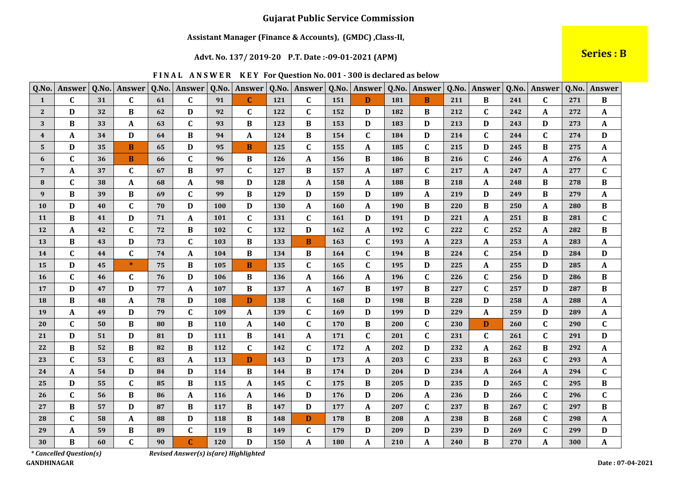### Assistant Manager (Finance & Accounts), (GMDC), Class-II,

### Advt. No. 137/2019-20 P.T. Date:-09-01-2021 (APM)

**Series: B** 

|  |  |  | FINAL ANSWER KEY For Question No. 001 - 300 is declared as below |
|--|--|--|------------------------------------------------------------------|
|--|--|--|------------------------------------------------------------------|

| Q.No.          | Answer      | Q.No. | Answer       | Q.No. | Answer           | Q.No. | Answer       | Q.No.      | Answer       | Q.No. | Answer       | Q.No. | Answer         | Q.No. | Answer       | Q.No. | Answer       | Q.No. | Answer                    |
|----------------|-------------|-------|--------------|-------|------------------|-------|--------------|------------|--------------|-------|--------------|-------|----------------|-------|--------------|-------|--------------|-------|---------------------------|
| $\mathbf{1}$   | $\mathbf C$ | 31    | $\mathbf{C}$ | 61    | $\mathbf{C}$     | 91    | $\mathbf{C}$ | 121        | $\mathbf{C}$ | 151   | D            | 181   | B              | 211   | B            | 241   | $\mathbf{C}$ | 271   | $\, {\bf B}$              |
| $\mathbf{2}$   | D           | 32    | B            | 62    | $\mathbf D$      | 92    | C            | 122        | $\mathbf{C}$ | 152   | D            | 182   | B              | 212   | $\mathbf C$  | 242   | A            | 272   | $\boldsymbol{\mathsf{A}}$ |
| 3              | B           | 33    | A            | 63    | $\mathbf C$      | 93    | B            | 123        | B            | 153   | D            | 183   | D              | 213   | D            | 243   | D            | 273   | A                         |
| $\overline{4}$ | A           | 34    | D            | 64    | $\bf{B}$         | 94    | $\mathbf{A}$ | 124        | B            | 154   | $\mathbf{C}$ | 184   | $\mathbf{D}$   | 214   | $\mathbf{C}$ | 244   | $\mathbf{C}$ | 274   | D                         |
| 5              | D           | 35    | B            | 65    | D                | 95    | B            | 125        | $\mathbf{C}$ | 155   | A            | 185   | $\mathbf C$    | 215   | D            | 245   | B            | 275   | $\boldsymbol{\mathsf{A}}$ |
| 6              | $\mathbf C$ | 36    | B            | 66    | $\mathbf C$      | 96    | B            | 126        | A            | 156   | B            | 186   | $\, {\bf B}$   | 216   | $\mathbf C$  | 246   | A            | 276   | $\boldsymbol{A}$          |
| $\overline{7}$ | A           | 37    | $\mathbf{C}$ | 67    | $\, {\bf B}$     | 97    | $\mathbf{C}$ | 127        | B            | 157   | A            | 187   | $\mathbf{C}$   | 217   | A            | 247   | A            | 277   | $\mathbf C$               |
| 8              | C           | 38    | A            | 68    | $\boldsymbol{A}$ | 98    | D            | 128        | A            | 158   | A            | 188   | $\, {\bf B}$   | 218   | A            | 248   | B            | 278   | B                         |
| 9              | B           | 39    | B            | 69    | $\mathbf C$      | 99    | $\bf{B}$     | 129        | D            | 159   | D            | 189   | $\pmb{A}$      | 219   | D            | 249   | B            | 279   | $\boldsymbol{A}$          |
| <b>10</b>      | D           | 40    | $\mathbf C$  | 70    | D                | 100   | D            | 130        | A            | 160   | A            | 190   | $\, {\bf B}$   | 220   | B            | 250   | A            | 280   | $\, {\bf B}$              |
| 11             | B           | 41    | D            | 71    | $\boldsymbol{A}$ | 101   | $\mathbf{C}$ | 131        | C            | 161   | D            | 191   | D              | 221   | A            | 251   | B            | 281   | $\mathbf{C}$              |
| 12             | A           | 42    | $\mathbf{C}$ | 72    | $\, {\bf B}$     | 102   | $\mathbf{C}$ | 132        | D            | 162   | $\mathbf{A}$ | 192   | $\mathbf C$    | 222   | $\mathbf C$  | 252   | A            | 282   | $\, {\bf B}$              |
| 13             | B           | 43    | D            | 73    | $\mathbf C$      | 103   | B            | 133        | B            | 163   | C            | 193   | A              | 223   | A            | 253   | $\mathbf{A}$ | 283   | A                         |
| 14             | $\mathbf C$ | 44    | $\mathbf C$  | 74    | $\pmb{A}$        | 104   | B            | 134        | B            | 164   | $\mathbf{C}$ | 194   | $\, {\bf B}$   | 224   | $\mathbf C$  | 254   | D            | 284   | $\mathbf{D}$              |
| 15             | D           | 45    | $\ast$       | 75    | $\, {\bf B}$     | 105   | B.           | 135        | C            | 165   | $\mathbf C$  | 195   | D              | 225   | A            | 255   | D            | 285   | A                         |
| <b>16</b>      | $\mathbf C$ | 46    | $\mathbf{C}$ | 76    | D                | 106   | B            | 136        | A            | 166   | $\mathbf{A}$ | 196   | $\mathbf C$    | 226   | $\mathbf{C}$ | 256   | D            | 286   | B                         |
| 17             | D           | 47    | D            | 77    | A                | 107   | B            | 137        | A            | 167   | B            | 197   | $\, {\bf B}$   | 227   | $\mathbf C$  | 257   | D            | 287   | B                         |
| 18             | B           | 48    | A            | 78    | $\mathbf D$      | 108   | D            | 138        | $\mathbf{C}$ | 168   | D            | 198   | $\, {\bf B}$   | 228   | D            | 258   | $\mathbf{A}$ | 288   | $\mathbf{A}$              |
| 19             | A           | 49    | D            | 79    | $\mathbf{C}$     | 109   | A            | 139        | $\mathbf{C}$ | 169   | D            | 199   | D              | 229   | A            | 259   | D            | 289   | $\boldsymbol{\mathsf{A}}$ |
| 20             | C           | 50    | B            | 80    | $\, {\bf B}$     | 110   | A            | <b>140</b> | C            | 170   | B            | 200   | C              | 230   | D            | 260   | $\mathbf{C}$ | 290   | $\mathbf C$               |
| 21             | D           | 51    | D            | 81    | D                | 111   | B            | 141        | A            | 171   | $\mathbf{C}$ | 201   | $\mathbf C$    | 231   | $\mathbf C$  | 261   | $\mathbf{C}$ | 291   | $\mathbf{D}$              |
| 22             | B           | 52    | B            | 82    | $\, {\bf B}$     | 112   | $\mathbf{C}$ | 142        | $\mathbf C$  | 172   | A            | 202   | D              | 232   | A            | 262   | B            | 292   | A                         |
| 23             | $\mathbf C$ | 53    | $\mathbf{C}$ | 83    | $\pmb{A}$        | 113   | D            | 143        | D            | 173   | $\mathbf{A}$ | 203   | $\mathbf C$    | 233   | B            | 263   | $\mathbf{C}$ | 293   | A                         |
| 24             | $\mathbf A$ | 54    | D            | 84    | $\mathbf D$      | 114   | $\bf{B}$     | 144        | B            | 174   | D            | 204   | D              | 234   | A            | 264   | A            | 294   | $\mathbf C$               |
| 25             | D           | 55    | $\mathbf{C}$ | 85    | $\, {\bf B}$     | 115   | A            | 145        | C            | 175   | B            | 205   | $\mathbf D$    | 235   | D            | 265   | $\mathbf{C}$ | 295   | $\bf{B}$                  |
| 26             | $\mathbf C$ | 56    | B            | 86    | $\boldsymbol{A}$ | 116   | A            | 146        | D            | 176   | D            | 206   | $\mathbf A$    | 236   | D            | 266   | $\mathbf{C}$ | 296   | $\mathbf C$               |
| 27             | B           | 57    | D            | 87    | $\, {\bf B}$     | 117   | B            | 147        | D            | 177   | A            | 207   | $\mathbf C$    | 237   | B            | 267   | $\mathbf{C}$ | 297   | B                         |
| 28             | $\mathbf C$ | 58    | A            | 88    | D                | 118   | $\bf{B}$     | 148        | D            | 178   | $\bf{B}$     | 208   | $\pmb{A}$      | 238   | B            | 268   | $\mathbf{C}$ | 298   | $\boldsymbol{\mathsf{A}}$ |
| 29             | A           | 59    | B            | 89    | $\mathbf C$      | 119   | $\bf{B}$     | 149        | $\mathbf{C}$ | 179   | D            | 209   | $\mathbf D$    | 239   | D            | 269   | $\mathbf{C}$ | 299   | $\mathbf D$               |
| 30             | B           | 60    | $\mathbf{C}$ | 90    | $\mathbf C$      | 120   | D            | 150        | A            | 180   | A            | 210   | $\overline{A}$ | 240   | B            | 270   | $\mathbf{A}$ | 300   | $\mathbf{A}$              |

\* Cancelled Question(s) **GANDHINAGAR**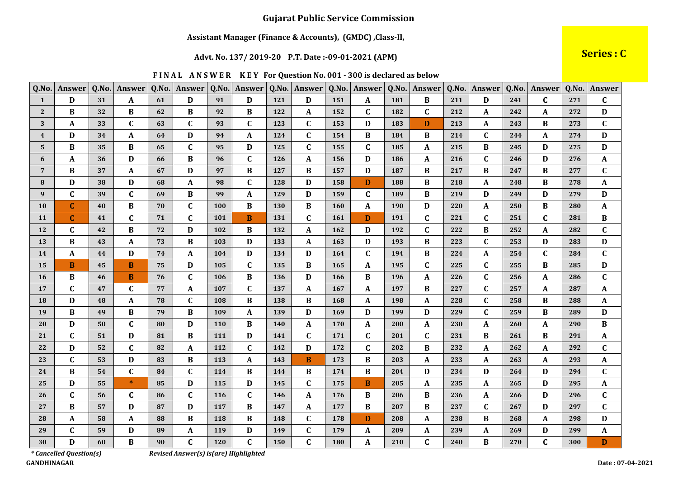### Assistant Manager (Finance & Accounts), (GMDC), Class-II,

#### Advt. No. 137/2019-20 P.T. Date:-09-01-2021 (APM)

Series : C

|  |  | FINAL ANSWER KEY For Question No. 001 - 300 is declared as below |  |
|--|--|------------------------------------------------------------------|--|
|--|--|------------------------------------------------------------------|--|

| Q.No.          | Answer       | Q.No. | Answer       | Q.No. | Answer                    | Q.No. | Answer                  | Q.No. | Answer       | Q.No. | Answer       | Q.No. | Answer       | Q.No. | Answer       |     | Q.No. Answer | Q.No. | <b>Answer</b>             |
|----------------|--------------|-------|--------------|-------|---------------------------|-------|-------------------------|-------|--------------|-------|--------------|-------|--------------|-------|--------------|-----|--------------|-------|---------------------------|
| $\mathbf{1}$   | D            | 31    | A            | 61    | D                         | 91    | D                       | 121   | D            | 151   | A            | 181   | $\bf{B}$     | 211   | D            | 241 | $\mathbf{C}$ | 271   | $\mathbf C$               |
| $\mathbf{2}$   | B            | 32    | B            | 62    | $\, {\bf B}$              | 92    | B                       | 122   | A            | 152   | $\mathbf C$  | 182   | $\mathbf C$  | 212   | A            | 242 | A            | 272   | $\mathbf D$               |
| 3              | A            | 33    | $\mathbf C$  | 63    | $\mathbf C$               | 93    | $\mathbf C$             | 123   | $\mathbf C$  | 153   | D            | 183   | D            | 213   | A            | 243 | B            | 273   | $\mathbf C$               |
| 4              | D            | 34    | A            | 64    | D                         | 94    | $\mathbf{A}$            | 124   | $\mathbf C$  | 154   | $\bf{B}$     | 184   | $\bf{B}$     | 214   | $\mathbf{C}$ | 244 | A            | 274   | $\mathbf D$               |
| 5              | B            | 35    | B            | 65    | $\mathbf C$               | 95    | D                       | 125   | $\mathbf{C}$ | 155   | $\mathbf C$  | 185   | A            | 215   | B            | 245 | D            | 275   | $\mathbf D$               |
| 6              | A            | 36    | D            | 66    | $\, {\bf B}$              | 96    | $\mathsf{C}\phantom{0}$ | 126   | A            | 156   | D            | 186   | $\mathbf A$  | 216   | $\mathbf C$  | 246 | D            | 276   | $\boldsymbol{A}$          |
| $\overline{7}$ | B            | 37    | A            | 67    | $\mathbf D$               | 97    | B                       | 127   | B            | 157   | D            | 187   | B            | 217   | B            | 247 | B            | 277   | $\mathbf C$               |
| 8              | D            | 38    | D            | 68    | $\boldsymbol{\mathsf{A}}$ | 98    | $\mathbf{C}$            | 128   | D            | 158   | D            | 188   | $\bf{B}$     | 218   | A            | 248 | B            | 278   | A                         |
| 9              | $\mathbf C$  | 39    | $\mathbf{C}$ | 69    | $\, {\bf B}$              | 99    | A                       | 129   | D            | 159   | $\mathbf{C}$ | 189   | $\bf{B}$     | 219   | D            | 249 | D            | 279   | D                         |
| <b>10</b>      | $\mathbf{C}$ | 40    | B            | 70    | C                         | 100   | B                       | 130   | B            | 160   | A            | 190   | $\mathbf D$  | 220   | A            | 250 | B            | 280   | $\boldsymbol{A}$          |
| 11             | $\mathbf C$  | 41    | $\mathbf{C}$ | 71    | $\mathbf C$               | 101   | <sub>B</sub>            | 131   | $\mathbf C$  | 161   | D            | 191   | $\mathbf C$  | 221   | $\mathbf C$  | 251 | $\mathbf{C}$ | 281   | $\, {\bf B}$              |
| 12             | $\mathbf{C}$ | 42    | B            | 72    | D                         | 102   | B                       | 132   | A            | 162   | D            | 192   | $\mathbf{C}$ | 222   | B            | 252 | A            | 282   | $\mathbf C$               |
| 13             | B            | 43    | A            | 73    | $\, {\bf B}$              | 103   | D                       | 133   | A            | 163   | D            | 193   | $\bf{B}$     | 223   | $\mathbf C$  | 253 | D            | 283   | $\mathbf D$               |
| 14             | A            | 44    | D            | 74    | $\mathbf A$               | 104   | D                       | 134   | D            | 164   | $\mathbf C$  | 194   | $\, {\bf B}$ | 224   | A            | 254 | $\mathbf{C}$ | 284   | $\mathbf C$               |
| 15             | B            | 45    | B            | 75    | D                         | 105   | $\mathsf{C}\phantom{0}$ | 135   | B            | 165   | A            | 195   | $\mathbf C$  | 225   | $\mathbf C$  | 255 | B            | 285   | $\mathbf D$               |
| <b>16</b>      | B            | 46    | B            | 76    | $\mathbf C$               | 106   | $\bf{B}$                | 136   | D            | 166   | B            | 196   | A            | 226   | $\mathbf{C}$ | 256 | A            | 286   | $\mathbf C$               |
| 17             | $\mathbf{C}$ | 47    | $\mathbf{C}$ | 77    | $\boldsymbol{\mathsf{A}}$ | 107   | $\mathbf{C}$            | 137   | A            | 167   | A            | 197   | B            | 227   | $\mathbf{C}$ | 257 | A            | 287   | $\boldsymbol{\mathsf{A}}$ |
| 18             | D            | 48    | A            | 78    | C                         | 108   | B                       | 138   | B            | 168   | A            | 198   | A            | 228   | $\mathbf C$  | 258 | B            | 288   | A                         |
| 19             | B            | 49    | B            | 79    | $\, {\bf B}$              | 109   | A                       | 139   | $\mathbf D$  | 169   | D            | 199   | $\mathbf D$  | 229   | $\mathbf{C}$ | 259 | B            | 289   | $\mathbf D$               |
| 20             | D            | 50    | $\mathbf C$  | 80    | D                         | 110   | B                       | 140   | A            | 170   | A            | 200   | A            | 230   | A            | 260 | A            | 290   | $\bf{B}$                  |
| 21             | $\mathbf C$  | 51    | D            | 81    | $\, {\bf B}$              | 111   | D                       | 141   | $\mathbf{C}$ | 171   | $\mathbf{C}$ | 201   | $\mathbf{C}$ | 231   | B            | 261 | B            | 291   | $\mathbf A$               |
| 22             | D            | 52    | C            | 82    | A                         | 112   | C                       | 142   | D            | 172   | $\mathbf C$  | 202   | $\, {\bf B}$ | 232   | A            | 262 | A            | 292   | $\mathbf C$               |
| 23             | $\mathbf C$  | 53    | D            | 83    | $\, {\bf B}$              | 113   | A                       | 143   | B            | 173   | B            | 203   | $\mathbf{A}$ | 233   | A            | 263 | A            | 293   | A                         |
| 24             | $\bf{B}$     | 54    | $\mathbf C$  | 84    | $\mathbf C$               | 114   | $\bf{B}$                | 144   | B            | 174   | $\bf{B}$     | 204   | $\mathbf D$  | 234   | $\mathbf D$  | 264 | D            | 294   | $\mathbf C$               |
| 25             | D            | 55    | $\ast$       | 85    | D                         | 115   | D                       | 145   | C            | 175   | B            | 205   | A            | 235   | A            | 265 | D            | 295   | A                         |
| 26             | $\mathbf C$  | 56    | $\mathbf{C}$ | 86    | $\mathbf{C}$              | 116   | $\mathbf{C}$            | 146   | A            | 176   | $\bf{B}$     | 206   | $\, {\bf B}$ | 236   | A            | 266 | D            | 296   | $\mathbf C$               |
| 27             | B            | 57    | D            | 87    | $\mathbf D$               | 117   | B                       | 147   | A            | 177   | B            | 207   | $\, {\bf B}$ | 237   | $\mathbf C$  | 267 | D            | 297   | $\mathbf C$               |
| 28             | A            | 58    | A            | 88    | $\, {\bf B}$              | 118   | $\bf{B}$                | 148   | $\mathbf{C}$ | 178   | D            | 208   | $\mathbf A$  | 238   | B            | 268 | A            | 298   | $\mathbf D$               |
| 29             | $\mathbf C$  | 59    | D            | 89    | $\pmb{A}$                 | 119   | D                       | 149   | $\mathbf{C}$ | 179   | A            | 209   | $\pmb{A}$    | 239   | A            | 269 | D            | 299   | $\boldsymbol{A}$          |
| 30             | D            | 60    | $\bf{B}$     | 90    | $\mathbf{C}$              | 120   | $\mathbf{C}$            | 150   | $\mathbf{C}$ | 180   | A            | 210   | $\mathbf{C}$ | 240   | $\bf{B}$     | 270 | $\mathbf{C}$ | 300   | D                         |

\* Cancelled Question(s) **GANDHINAGAR**